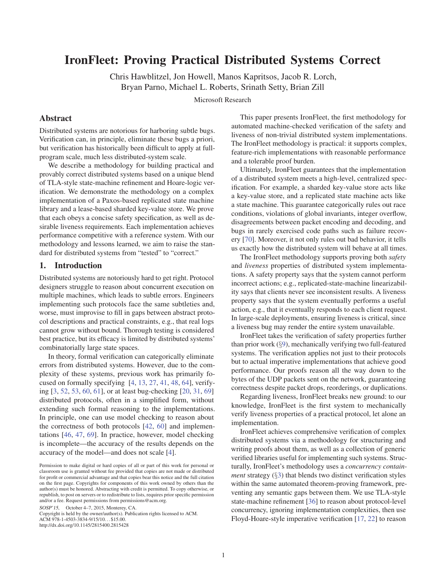# IronFleet: Proving Practical Distributed Systems Correct

Chris Hawblitzel, Jon Howell, Manos Kapritsos, Jacob R. Lorch, Bryan Parno, Michael L. Roberts, Srinath Setty, Brian Zill

Microsoft Research

# Abstract

Distributed systems are notorious for harboring subtle bugs. Verification can, in principle, eliminate these bugs a priori, but verification has historically been difficult to apply at fullprogram scale, much less distributed-system scale.

We describe a methodology for building practical and provably correct distributed systems based on a unique blend of TLA-style state-machine refinement and Hoare-logic verification. We demonstrate the methodology on a complex implementation of a Paxos-based replicated state machine library and a lease-based sharded key-value store. We prove that each obeys a concise safety specification, as well as desirable liveness requirements. Each implementation achieves performance competitive with a reference system. With our methodology and lessons learned, we aim to raise the standard for distributed systems from "tested" to "correct."

# 1. Introduction

Distributed systems are notoriously hard to get right. Protocol designers struggle to reason about concurrent execution on multiple machines, which leads to subtle errors. Engineers implementing such protocols face the same subtleties and, worse, must improvise to fill in gaps between abstract protocol descriptions and practical constraints, e.g., that real logs cannot grow without bound. Thorough testing is considered best practice, but its efficacy is limited by distributed systems' combinatorially large state spaces.

In theory, formal verification can categorically eliminate errors from distributed systems. However, due to the complexity of these systems, previous work has primarily focused on formally specifying [4, 13, 27, 41, 48, 64], verifying [3, 52, 53, 60, 61], or at least bug-checking [20, 31, 69] distributed protocols, often in a simplified form, without extending such formal reasoning to the implementations. In principle, one can use model checking to reason about the correctness of both protocols [42, 60] and implementations [46, 47, 69]. In practice, however, model checking is incomplete—the accuracy of the results depends on the accuracy of the model—and does not scale [4].

This paper presents IronFleet, the first methodology for automated machine-checked verification of the safety and liveness of non-trivial distributed system implementations. The IronFleet methodology is practical: it supports complex, feature-rich implementations with reasonable performance and a tolerable proof burden.

Ultimately, IronFleet guarantees that the implementation of a distributed system meets a high-level, centralized specification. For example, a sharded key-value store acts like a key-value store, and a replicated state machine acts like a state machine. This guarantee categorically rules out race conditions, violations of global invariants, integer overflow, disagreements between packet encoding and decoding, and bugs in rarely exercised code paths such as failure recovery [70]. Moreover, it not only rules out bad behavior, it tells us exactly how the distributed system will behave at all times.

The IronFleet methodology supports proving both *safety* and *liveness* properties of distributed system implementations. A safety property says that the system cannot perform incorrect actions; e.g., replicated-state-machine linearizability says that clients never see inconsistent results. A liveness property says that the system eventually performs a useful action, e.g., that it eventually responds to each client request. In large-scale deployments, ensuring liveness is critical, since a liveness bug may render the entire system unavailable.

IronFleet takes the verification of safety properties further than prior work  $(\S 9)$ , mechanically verifying two full-featured systems. The verification applies not just to their protocols but to actual imperative implementations that achieve good performance. Our proofs reason all the way down to the bytes of the UDP packets sent on the network, guaranteeing correctness despite packet drops, reorderings, or duplications.

Regarding liveness, IronFleet breaks new ground: to our knowledge, IronFleet is the first system to mechanically verify liveness properties of a practical protocol, let alone an implementation.

IronFleet achieves comprehensive verification of complex distributed systems via a methodology for structuring and writing proofs about them, as well as a collection of generic verified libraries useful for implementing such systems. Structurally, IronFleet's methodology uses a *concurrency containment* strategy (§3) that blends two distinct verification styles within the same automated theorem-proving framework, preventing any semantic gaps between them. We use TLA-style state-machine refinement [36] to reason about protocol-level concurrency, ignoring implementation complexities, then use Floyd-Hoare-style imperative verification [17, 22] to reason

Permission to make digital or hard copies of all or part of this work for personal or classroom use is granted without fee provided that copies are not made or distributed for profit or commercial advantage and that copies bear this notice and the full citation on the first page. Copyrights for components of this work owned by others than the author(s) must be honored. Abstracting with credit is permitted. To copy otherwise, or republish, to post on servers or to redistribute to lists, requires prior specific permission and/or a fee. Request permissions from permissions@acm.org.

SOSP'15, October 4–7, 2015, Monterey, CA.

Copyright is held by the owner/author(s). Publication rights licensed to ACM. ACM 978-1-4503-3834-9/15/10. . . \$15.00. http://dx.doi.org/10.1145/2815400.2815428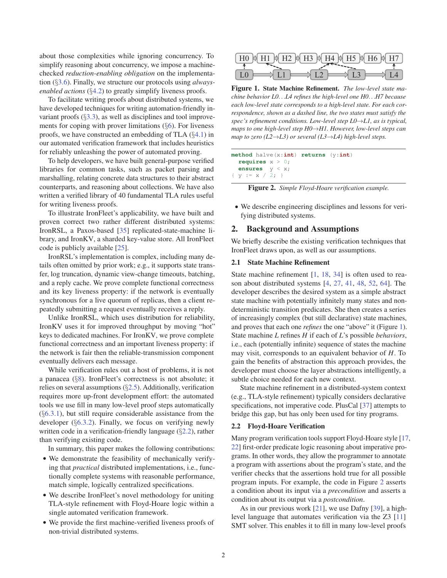about those complexities while ignoring concurrency. To simplify reasoning about concurrency, we impose a machinechecked *reduction-enabling obligation* on the implementation (§3.6). Finally, we structure our protocols using *alwaysenabled actions* (§4.2) to greatly simplify liveness proofs.

To facilitate writing proofs about distributed systems, we have developed techniques for writing automation-friendly invariant proofs (§3.3), as well as disciplines and tool improvements for coping with prover limitations (§6). For liveness proofs, we have constructed an embedding of TLA (§4.1) in our automated verification framework that includes heuristics for reliably unleashing the power of automated proving.

To help developers, we have built general-purpose verified libraries for common tasks, such as packet parsing and marshalling, relating concrete data structures to their abstract counterparts, and reasoning about collections. We have also written a verified library of 40 fundamental TLA rules useful for writing liveness proofs.

To illustrate IronFleet's applicability, we have built and proven correct two rather different distributed systems: IronRSL, a Paxos-based [35] replicated-state-machine library, and IronKV, a sharded key-value store. All IronFleet code is publicly available [25].

IronRSL's implementation is complex, including many details often omitted by prior work; e.g., it supports state transfer, log truncation, dynamic view-change timeouts, batching, and a reply cache. We prove complete functional correctness and its key liveness property: if the network is eventually synchronous for a live quorum of replicas, then a client repeatedly submitting a request eventually receives a reply.

Unlike IronRSL, which uses distribution for reliability, IronKV uses it for improved throughput by moving "hot" keys to dedicated machines. For IronKV, we prove complete functional correctness and an important liveness property: if the network is fair then the reliable-transmission component eventually delivers each message.

While verification rules out a host of problems, it is not a panacea (§8). IronFleet's correctness is not absolute; it relies on several assumptions  $(\S 2.5)$ . Additionally, verification requires more up-front development effort: the automated tools we use fill in many low-level proof steps automatically (§6.3.1), but still require considerable assistance from the developer (§6.3.2). Finally, we focus on verifying newly written code in a verification-friendly language (§2.2), rather than verifying existing code.

In summary, this paper makes the following contributions:

- We demonstrate the feasibility of mechanically verifying that *practical* distributed implementations, i.e., functionally complete systems with reasonable performance, match simple, logically centralized specifications.
- We describe IronFleet's novel methodology for uniting TLA-style refinement with Floyd-Hoare logic within a single automated verification framework.
- We provide the first machine-verified liveness proofs of non-trivial distributed systems.



Figure 1. State Machine Refinement. *The low-level state machine behavior L0*...*L4 refines the high-level one H0*...*H7 because each low-level state corresponds to a high-level state. For each correspondence, shown as a dashed line, the two states must satisfy the spec's refinement conditions. Low-level step L0*→*L1, as is typical, maps to one high-level step H0*→*H1. However, low-level steps can map to zero (L2*→*L3) or several (L3*→*L4) high-level steps.*

```
method halve(x:int) returns (y:int)
  requires x > 0;
  ensures y < x;
\{ y := x / 2; \}
```
Figure 2. *Simple Floyd-Hoare verification example.*

• We describe engineering disciplines and lessons for verifying distributed systems.

# 2. Background and Assumptions

We briefly describe the existing verification techniques that IronFleet draws upon, as well as our assumptions.

#### 2.1 State Machine Refinement

State machine refinement [1, 18, 34] is often used to reason about distributed systems [4, 27, 41, 48, 52, 64]. The developer describes the desired system as a simple abstract state machine with potentially infinitely many states and nondeterministic transition predicates. She then creates a series of increasingly complex (but still declarative) state machines, and proves that each one *refines* the one "above" it (Figure 1). State machine *L* refines *H* if each of *L*'s possible *behaviors*, i.e., each (potentially infinite) sequence of states the machine may visit, corresponds to an equivalent behavior of *H*. To gain the benefits of abstraction this approach provides, the developer must choose the layer abstractions intelligently, a subtle choice needed for each new context.

State machine refinement in a distributed-system context (e.g., TLA-style refinement) typically considers declarative specifications, not imperative code. PlusCal [37] attempts to bridge this gap, but has only been used for tiny programs.

### 2.2 Floyd-Hoare Verification

Many program verification tools support Floyd-Hoare style [17, 22] first-order predicate logic reasoning about imperative programs. In other words, they allow the programmer to annotate a program with assertions about the program's state, and the verifier checks that the assertions hold true for all possible program inputs. For example, the code in Figure 2 asserts a condition about its input via a *precondition* and asserts a condition about its output via a *postcondition*.

As in our previous work [21], we use Dafny [39], a highlevel language that automates verification via the Z3 [11] SMT solver. This enables it to fill in many low-level proofs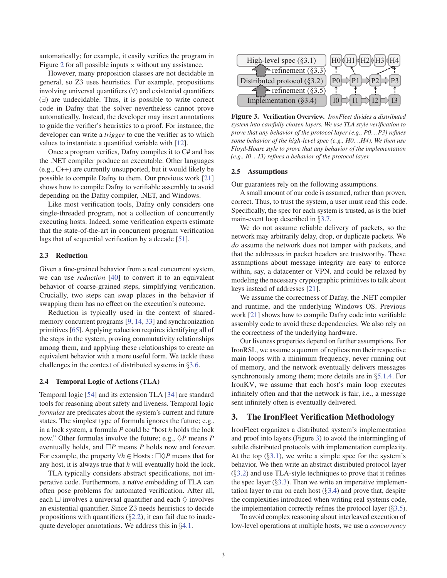automatically; for example, it easily verifies the program in Figure 2 for all possible inputs x without any assistance.

However, many proposition classes are not decidable in general, so Z3 uses heuristics. For example, propositions involving universal quantifiers  $(\forall)$  and existential quantifiers (∃) are undecidable. Thus, it is possible to write correct code in Dafny that the solver nevertheless cannot prove automatically. Instead, the developer may insert annotations to guide the verifier's heuristics to a proof. For instance, the developer can write a *trigger* to cue the verifier as to which values to instantiate a quantified variable with [12].

Once a program verifies, Dafny compiles it to C# and has the .NET compiler produce an executable. Other languages (e.g., C++) are currently unsupported, but it would likely be possible to compile Dafny to them. Our previous work [21] shows how to compile Dafny to verifiable assembly to avoid depending on the Dafny compiler, .NET, and Windows.

Like most verification tools, Dafny only considers one single-threaded program, not a collection of concurrently executing hosts. Indeed, some verification experts estimate that the state-of-the-art in concurrent program verification lags that of sequential verification by a decade [51].

#### 2.3 Reduction

Given a fine-grained behavior from a real concurrent system, we can use *reduction* [40] to convert it to an equivalent behavior of coarse-grained steps, simplifying verification. Crucially, two steps can swap places in the behavior if swapping them has no effect on the execution's outcome.

Reduction is typically used in the context of sharedmemory concurrent programs [9, 14, 33] and synchronization primitives [65]. Applying reduction requires identifying all of the steps in the system, proving commutativity relationships among them, and applying these relationships to create an equivalent behavior with a more useful form. We tackle these challenges in the context of distributed systems in §3.6.

### 2.4 Temporal Logic of Actions (TLA)

Temporal logic [54] and its extension TLA [34] are standard tools for reasoning about safety and liveness. Temporal logic *formulas* are predicates about the system's current and future states. The simplest type of formula ignores the future; e.g., in a lock system, a formula *P* could be "host *h* holds the lock now." Other formulas involve the future; e.g.,  $\Diamond P$  means *P* eventually holds, and  $\Box P$  means *P* holds now and forever. For example, the property  $\forall h \in \text{Hosts} : \Box \Diamond P$  means that for any host, it is always true that *h* will eventually hold the lock.

TLA typically considers abstract specifications, not imperative code. Furthermore, a naïve embedding of TLA can often pose problems for automated verification. After all, each  $\Box$  involves a universal quantifier and each  $\Diamond$  involves an existential quantifier. Since Z3 needs heuristics to decide propositions with quantifiers  $(\S2.2)$ , it can fail due to inadequate developer annotations. We address this in §4.1.



Figure 3. Verification Overview. *IronFleet divides a distributed system into carefully chosen layers. We use TLA style verification to prove that any behavior of the protocol layer (e.g., P0*...*P3) refines some behavior of the high-level spec (e.g., H0*...*H4). We then use Floyd-Hoare style to prove that any behavior of the implementation (e.g., I0*...*I3) refines a behavior of the protocol layer.*

#### 2.5 Assumptions

Our guarantees rely on the following assumptions.

A small amount of our code is assumed, rather than proven, correct. Thus, to trust the system, a user must read this code. Specifically, the spec for each system is trusted, as is the brief main-event loop described in §3.7.

We do not assume reliable delivery of packets, so the network may arbitrarily delay, drop, or duplicate packets. We *do* assume the network does not tamper with packets, and that the addresses in packet headers are trustworthy. These assumptions about message integrity are easy to enforce within, say, a datacenter or VPN, and could be relaxed by modeling the necessary cryptographic primitives to talk about keys instead of addresses [21].

We assume the correctness of Dafny, the .NET compiler and runtime, and the underlying Windows OS. Previous work [21] shows how to compile Dafny code into verifiable assembly code to avoid these dependencies. We also rely on the correctness of the underlying hardware.

Our liveness properties depend on further assumptions. For IronRSL, we assume a quorum of replicas run their respective main loops with a minimum frequency, never running out of memory, and the network eventually delivers messages synchronously among them; more details are in §5.1.4. For IronKV, we assume that each host's main loop executes infinitely often and that the network is fair, i.e., a message sent infinitely often is eventually delivered.

# 3. The IronFleet Verification Methodology

IronFleet organizes a distributed system's implementation and proof into layers (Figure 3) to avoid the intermingling of subtle distributed protocols with implementation complexity. At the top  $(\S3.1)$ , we write a simple spec for the system's behavior. We then write an abstract distributed protocol layer (§3.2) and use TLA-style techniques to prove that it refines the spec layer  $(\S3.3)$ . Then we write an imperative implementation layer to run on each host  $(\S3.4)$  and prove that, despite the complexities introduced when writing real systems code, the implementation correctly refines the protocol layer  $(\S 3.5)$ .

To avoid complex reasoning about interleaved execution of low-level operations at multiple hosts, we use a *concurrency*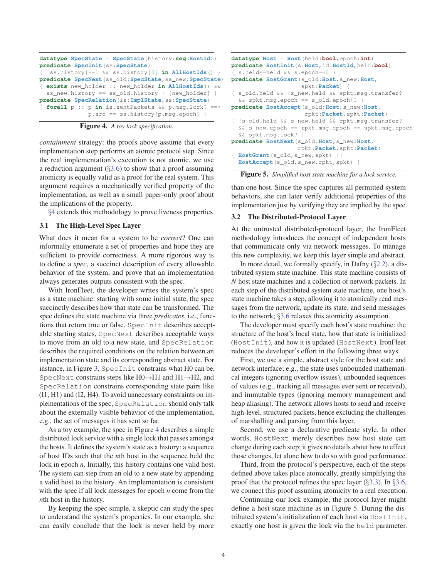```
datatype SpecState = SpecState(history:seq<HostId>)
predicate SpecInit(ss:SpecState)
 { |ss.history|==1 && ss.history[0] in AllHostIds() }
predicate SpecNext(ss_old:SpecState,ss_new:SpecState)
{ exists new_holder :: new_holder in AllHostIds() &&
  ss_new.history == ss_old.history + [new_holder] }
predicate SpecRelation(is:ImplState,ss:SpecState)
{ forall p :: p in is.sentPackets && p.msg.lock? ==>
              p.src == ss.history[p.msg.epoch] }
```
Figure 4. *A toy lock specification.*

*containment* strategy: the proofs above assume that every implementation step performs an atomic protocol step. Since the real implementation's execution is not atomic, we use a reduction argument  $(\S3.6)$  to show that a proof assuming atomicity is equally valid as a proof for the real system. This argument requires a mechanically verified property of the implementation, as well as a small paper-only proof about the implications of the property.

§4 extends this methodology to prove liveness properties.

# 3.1 The High-Level Spec Layer

What does it mean for a system to be *correct*? One can informally enumerate a set of properties and hope they are sufficient to provide correctness. A more rigorous way is to define a *spec*, a succinct description of every allowable behavior of the system, and prove that an implementation always generates outputs consistent with the spec.

With IronFleet, the developer writes the system's spec as a state machine: starting with some initial state, the spec succinctly describes how that state can be transformed. The spec defines the state machine via three *predicates*, i.e., functions that return true or false. SpecInit describes acceptable starting states, SpecNext describes acceptable ways to move from an old to a new state, and SpecRelation describes the required conditions on the relation between an implementation state and its corresponding abstract state. For instance, in Figure 3, SpecInit constrains what H0 can be, SpecNext constrains steps like H0→H1 and H1→H2, and SpecRelation constrains corresponding state pairs like (I1, H1) and (I2, H4). To avoid unnecessary constraints on implementations of the spec, SpecRelation should only talk about the externally visible behavior of the implementation, e.g., the set of messages it has sent so far.

As a toy example, the spec in Figure 4 describes a simple distributed lock service with a single lock that passes amongst the hosts. It defines the system's state as a history: a sequence of host IDs such that the *n*th host in the sequence held the lock in epoch *n*. Initially, this history contains one valid host. The system can step from an old to a new state by appending a valid host to the history. An implementation is consistent with the spec if all lock messages for epoch *n* come from the *n*th host in the history.

By keeping the spec simple, a skeptic can study the spec to understand the system's properties. In our example, she can easily conclude that the lock is never held by more

```
datatype Host = Host(held:bool,epoch:int)
predicate HostInit(s:Host,id:HostId,held:bool)
{ s.held==held && s.epoch==0 }
predicate HostGrant(s_old:Host,s_new:Host,
                     spkt:Packet) {
{ s_old.held && !s_new.held && spkt.msg.transfer?
  && spkt.msg.epoch == s_old.epoch+1 }
predicate HostAccept(s_old:Host,s_new:Host,
                      rpkt:Packet,spkt:Packet)
{ !s_old.held && s_new.held && rpkt.msg.transfer?
  && s_new.epoch == rpkt.msg.epoch == spkt.msg.epoch
  && spkt.msg.lock? }
predicate HostNext(s_old:Host,s_new:Host,
                    rpkt:Packet,spkt:Packet)
{ HostGrant(s_old,s_new,spkt) ||
  \texttt{HostAccept}(s\_old, s\_new, \texttt{rpkt}, \texttt{spkt})
```
Figure 5. *Simplified host state machine for a lock service.*

than one host. Since the spec captures all permitted system behaviors, she can later verify additional properties of the implementation just by verifying they are implied by the spec.

### 3.2 The Distributed-Protocol Layer

At the untrusted distributed-protocol layer, the IronFleet methodology introduces the concept of independent hosts that communicate only via network messages. To manage this new complexity, we keep this layer simple and abstract.

In more detail, we formally specify, in Dafny  $(\S2.2)$ , a distributed system state machine. This state machine consists of *N* host state machines and a collection of network packets. In each step of the distributed system state machine, one host's state machine takes a step, allowing it to atomically read messages from the network, update its state, and send messages to the network; §3.6 relaxes this atomicity assumption.

The developer must specify each host's state machine: the structure of the host's local state, how that state is initialized (HostInit), and how it is updated (HostNext). IronFleet reduces the developer's effort in the following three ways.

First, we use a simple, abstract style for the host state and network interface; e.g., the state uses unbounded mathematical integers (ignoring overflow issues), unbounded sequences of values (e.g., tracking all messages ever sent or received), and immutable types (ignoring memory management and heap aliasing). The network allows hosts to send and receive high-level, structured packets, hence excluding the challenges of marshalling and parsing from this layer.

Second, we use a declarative predicate style. In other words, HostNext merely describes how host state can change during each step; it gives no details about how to effect those changes, let alone how to do so with good performance.

Third, from the protocol's perspective, each of the steps defined above takes place atomically, greatly simplifying the proof that the protocol refines the spec layer (§3.3). In §3.6, we connect this proof assuming atomicity to a real execution.

Continuing our lock example, the protocol layer might define a host state machine as in Figure 5. During the distributed system's initialization of each host via HostInit, exactly one host is given the lock via the held parameter.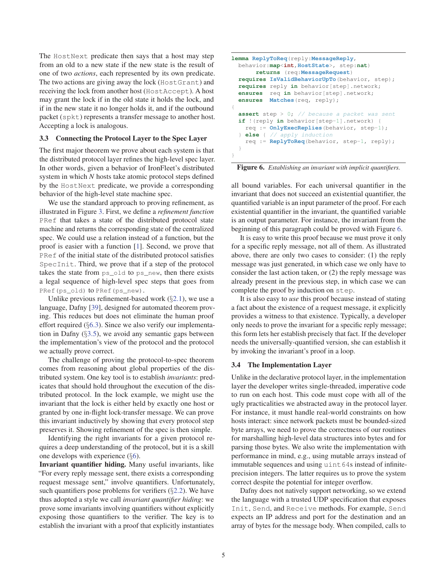The HostNext predicate then says that a host may step from an old to a new state if the new state is the result of one of two *actions*, each represented by its own predicate. The two actions are giving away the lock (HostGrant) and receiving the lock from another host (HostAccept). A host may grant the lock if in the old state it holds the lock, and if in the new state it no longer holds it, and if the outbound packet (spkt) represents a transfer message to another host. Accepting a lock is analogous.

#### 3.3 Connecting the Protocol Layer to the Spec Layer

The first major theorem we prove about each system is that the distributed protocol layer refines the high-level spec layer. In other words, given a behavior of IronFleet's distributed system in which *N* hosts take atomic protocol steps defined by the HostNext predicate, we provide a corresponding behavior of the high-level state machine spec.

We use the standard approach to proving refinement, as illustrated in Figure 3. First, we define a *refinement function* PRef that takes a state of the distributed protocol state machine and returns the corresponding state of the centralized spec. We could use a relation instead of a function, but the proof is easier with a function [1]. Second, we prove that PRef of the initial state of the distributed protocol satisfies SpecInit. Third, we prove that if a step of the protocol takes the state from ps\_old to ps\_new, then there exists a legal sequence of high-level spec steps that goes from PRef(ps\_old) to PRef(ps\_new).

Unlike previous refinement-based work  $(\S_2, 1)$ , we use a language, Dafny [39], designed for automated theorem proving. This reduces but does not eliminate the human proof effort required  $(\S6.3)$ . Since we also verify our implementation in Dafny  $(\S 3.5)$ , we avoid any semantic gaps between the implementation's view of the protocol and the protocol we actually prove correct.

The challenge of proving the protocol-to-spec theorem comes from reasoning about global properties of the distributed system. One key tool is to establish *invariants*: predicates that should hold throughout the execution of the distributed protocol. In the lock example, we might use the invariant that the lock is either held by exactly one host or granted by one in-flight lock-transfer message. We can prove this invariant inductively by showing that every protocol step preserves it. Showing refinement of the spec is then simple.

Identifying the right invariants for a given protocol requires a deep understanding of the protocol, but it is a skill one develops with experience  $(\S6)$ .

Invariant quantifier hiding. Many useful invariants, like "For every reply message sent, there exists a corresponding request message sent," involve quantifiers. Unfortunately, such quantifiers pose problems for verifiers  $(\S2.2)$ . We have thus adopted a style we call *invariant quantifier hiding*: we prove some invariants involving quantifiers without explicitly exposing those quantifiers to the verifier. The key is to establish the invariant with a proof that explicitly instantiates

```
lemma ReplyToReq(reply:MessageReply,
  behavior:map<int,HostState>, step:nat)
       returns (req:MessageRequest)
  requires IsValidBehaviorUpTo(behavior, step);
  requires reply in behavior[step].network;
  ensures req in behavior[step].network;
  ensures Matches(req, reply);
{
  assert step > 0; // because a packet was sent
  if !(reply in behavior[step-1].network) {
    req := OnlyExecReplies(behavior, step-1);
  } else { // apply induction
    req := ReplyToReq(behavior, step-1, reply);
  }
}
```
Figure 6. *Establishing an invariant with implicit quantifiers.*

all bound variables. For each universal quantifier in the invariant that does not succeed an existential quantifier, the quantified variable is an input parameter of the proof. For each existential quantifier in the invariant, the quantified variable is an output parameter. For instance, the invariant from the beginning of this paragraph could be proved with Figure 6.

It is easy to write this proof because we must prove it only for a specific reply message, not all of them. As illustrated above, there are only two cases to consider: (1) the reply message was just generated, in which case we only have to consider the last action taken, or (2) the reply message was already present in the previous step, in which case we can complete the proof by induction on step.

It is also easy to *use* this proof because instead of stating a fact about the existence of a request message, it explicitly provides a witness to that existence. Typically, a developer only needs to prove the invariant for a specific reply message; this form lets her establish precisely that fact. If the developer needs the universally-quantified version, she can establish it by invoking the invariant's proof in a loop.

### 3.4 The Implementation Layer

Unlike in the declarative protocol layer, in the implementation layer the developer writes single-threaded, imperative code to run on each host. This code must cope with all of the ugly practicalities we abstracted away in the protocol layer. For instance, it must handle real-world constraints on how hosts interact: since network packets must be bounded-sized byte arrays, we need to prove the correctness of our routines for marshalling high-level data structures into bytes and for parsing those bytes. We also write the implementation with performance in mind, e.g., using mutable arrays instead of immutable sequences and using uint 64s instead of infiniteprecision integers. The latter requires us to prove the system correct despite the potential for integer overflow.

Dafny does not natively support networking, so we extend the language with a trusted UDP specification that exposes Init, Send, and Receive methods. For example, Send expects an IP address and port for the destination and an array of bytes for the message body. When compiled, calls to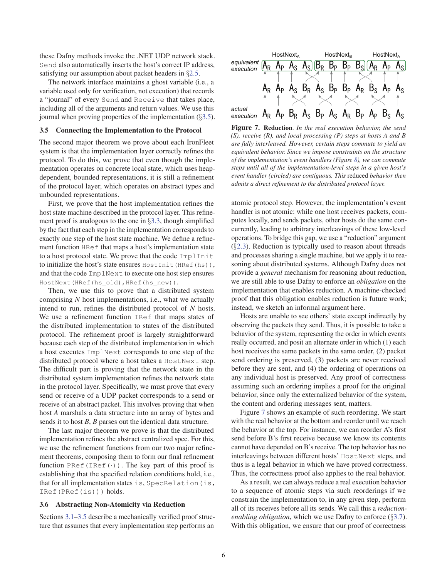these Dafny methods invoke the .NET UDP network stack. Send also automatically inserts the host's correct IP address, satisfying our assumption about packet headers in §2.5.

The network interface maintains a ghost variable (i.e., a variable used only for verification, not execution) that records a "journal" of every Send and Receive that takes place, including all of the arguments and return values. We use this journal when proving properties of the implementation (§3.5).

#### 3.5 Connecting the Implementation to the Protocol

The second major theorem we prove about each IronFleet system is that the implementation layer correctly refines the protocol. To do this, we prove that even though the implementation operates on concrete local state, which uses heapdependent, bounded representations, it is still a refinement of the protocol layer, which operates on abstract types and unbounded representations.

First, we prove that the host implementation refines the host state machine described in the protocol layer. This refinement proof is analogous to the one in §3.3, though simplified by the fact that each step in the implementation corresponds to exactly one step of the host state machine. We define a refinement function HRef that maps a host's implementation state to a host protocol state. We prove that the code ImplInit to initialize the host's state ensures HostInit(HRef(hs)), and that the code ImplNext to execute one host step ensures HostNext(HRef(hs\_old),HRef(hs\_new)).

Then, we use this to prove that a distributed system comprising *N* host implementations, i.e., what we actually intend to run, refines the distributed protocol of *N* hosts. We use a refinement function IRef that maps states of the distributed implementation to states of the distributed protocol. The refinement proof is largely straightforward because each step of the distributed implementation in which a host executes ImplNext corresponds to one step of the distributed protocol where a host takes a HostNext step. The difficult part is proving that the network state in the distributed system implementation refines the network state in the protocol layer. Specifically, we must prove that every send or receive of a UDP packet corresponds to a send or receive of an abstract packet. This involves proving that when host *A* marshals a data structure into an array of bytes and sends it to host *B*, *B* parses out the identical data structure.

The last major theorem we prove is that the distributed implementation refines the abstract centralized spec. For this, we use the refinement functions from our two major refinement theorems, composing them to form our final refinement function PRef(IRef(·)). The key part of this proof is establishing that the specified relation conditions hold, i.e., that for all implementation states is, SpecRelation (is, IRef(PRef(is))) holds.

### 3.6 Abstracting Non-Atomicity via Reduction

Sections 3.1–3.5 describe a mechanically verified proof structure that assumes that every implementation step performs an



Figure 7. Reduction. *In the real execution behavior, the send (S), receive (R), and local processing (P) steps at hosts A and B are fully interleaved. However, certain steps commute to yield an equivalent behavior. Since we impose constraints on the structure of the implementation's event handlers (Figure 8), we can commute steps until all of the implementation-level steps in a given host's event handler (circled) are contiguous. This* reduced *behavior then admits a direct refinement to the distributed protocol layer.*

atomic protocol step. However, the implementation's event handler is not atomic: while one host receives packets, computes locally, and sends packets, other hosts do the same concurrently, leading to arbitrary interleavings of these low-level operations. To bridge this gap, we use a "reduction" argument  $(\S2.3)$ . Reduction is typically used to reason about threads and processes sharing a single machine, but we apply it to reasoning about distributed systems. Although Dafny does not provide a *general* mechanism for reasoning about reduction, we are still able to use Dafny to enforce an *obligation* on the implementation that enables reduction. A machine-checked proof that this obligation enables reduction is future work; instead, we sketch an informal argument here.

Hosts are unable to see others' state except indirectly by observing the packets they send. Thus, it is possible to take a behavior of the system, representing the order in which events really occurred, and posit an alternate order in which (1) each host receives the same packets in the same order, (2) packet send ordering is preserved, (3) packets are never received before they are sent, and (4) the ordering of operations on any individual host is preserved. Any proof of correctness assuming such an ordering implies a proof for the original behavior, since only the externalized behavior of the system, the content and ordering messages sent, matters.

Figure 7 shows an example of such reordering. We start with the real behavior at the bottom and reorder until we reach the behavior at the top. For instance, we can reorder A's first send before B's first receive because we know its contents cannot have depended on B's receive. The top behavior has no interleavings between different hosts' HostNext steps, and thus is a legal behavior in which we have proved correctness. Thus, the correctness proof also applies to the real behavior.

As a result, we can always reduce a real execution behavior to a sequence of atomic steps via such reorderings if we constrain the implementation to, in any given step, perform all of its receives before all its sends. We call this a *reductionenabling obligation*, which we use Dafny to enforce (§3.7). With this obligation, we ensure that our proof of correctness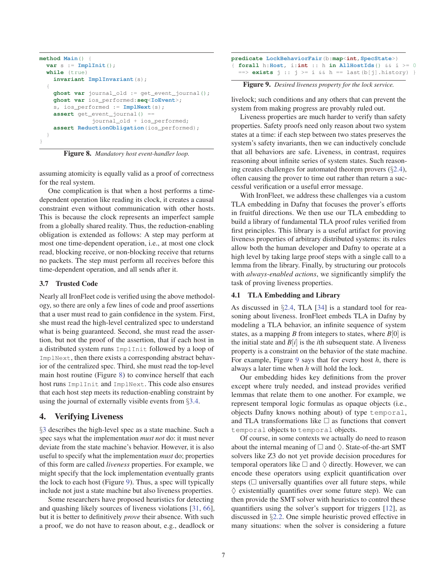```
method Main() {
  var s := ImplInit();
  while (true)
    invariant ImplInvariant(s);
  {
    ghost var journal_old := get_event_journal();
    ghost var ios_performed:seq<IoEvent>;
    s, ios_performed := ImplNext(s);
    assert get event journal() =
               journal_old + ios_performed;
    assert ReductionObligation(ios_performed);
  }
}
```
Figure 8. *Mandatory host event-handler loop.*

assuming atomicity is equally valid as a proof of correctness for the real system.

One complication is that when a host performs a timedependent operation like reading its clock, it creates a causal constraint even without communication with other hosts. This is because the clock represents an imperfect sample from a globally shared reality. Thus, the reduction-enabling obligation is extended as follows: A step may perform at most one time-dependent operation, i.e., at most one clock read, blocking receive, or non-blocking receive that returns no packets. The step must perform all receives before this time-dependent operation, and all sends after it.

### 3.7 Trusted Code

Nearly all IronFleet code is verified using the above methodology, so there are only a few lines of code and proof assertions that a user must read to gain confidence in the system. First, she must read the high-level centralized spec to understand what is being guaranteed. Second, she must read the assertion, but not the proof of the assertion, that if each host in a distributed system runs ImplInit followed by a loop of ImplNext, then there exists a corresponding abstract behavior of the centralized spec. Third, she must read the top-level main host routine (Figure 8) to convince herself that each host runs ImplInit and ImplNext. This code also ensures that each host step meets its reduction-enabling constraint by using the journal of externally visible events from §3.4.

# 4. Verifying Liveness

§3 describes the high-level spec as a state machine. Such a spec says what the implementation *must not* do: it must never deviate from the state machine's behavior. However, it is also useful to specify what the implementation *must* do; properties of this form are called *liveness* properties. For example, we might specify that the lock implementation eventually grants the lock to each host (Figure 9). Thus, a spec will typically include not just a state machine but also liveness properties.

Some researchers have proposed heuristics for detecting and quashing likely sources of liveness violations [31, 66], but it is better to definitively *prove* their absence. With such a proof, we do not have to reason about, e.g., deadlock or

| predicate LockBehaviorFair(b:map <int, specstate="">)</int,> |                                                               |  |  |  |  |  |  |  |  |  |  |  |  |
|--------------------------------------------------------------|---------------------------------------------------------------|--|--|--|--|--|--|--|--|--|--|--|--|
|                                                              | { forall h:Host, i:int :: h in AllHostIds () && i >= 0        |  |  |  |  |  |  |  |  |  |  |  |  |
|                                                              | $\Rightarrow$ exists i :: i >= i && h == last(b[j].history) } |  |  |  |  |  |  |  |  |  |  |  |  |

Figure 9. *Desired liveness property for the lock service.*

livelock; such conditions and any others that can prevent the system from making progress are provably ruled out.

Liveness properties are much harder to verify than safety properties. Safety proofs need only reason about two system states at a time: if each step between two states preserves the system's safety invariants, then we can inductively conclude that all behaviors are safe. Liveness, in contrast, requires reasoning about infinite series of system states. Such reasoning creates challenges for automated theorem provers (§2.4), often causing the prover to time out rather than return a successful verification or a useful error message.

With IronFleet, we address these challenges via a custom TLA embedding in Dafny that focuses the prover's efforts in fruitful directions. We then use our TLA embedding to build a library of fundamental TLA proof rules verified from first principles. This library is a useful artifact for proving liveness properties of arbitrary distributed systems: its rules allow both the human developer and Dafny to operate at a high level by taking large proof steps with a single call to a lemma from the library. Finally, by structuring our protocols with *always-enabled actions*, we significantly simplify the task of proving liveness properties.

#### 4.1 TLA Embedding and Library

As discussed in §2.4, TLA [34] is a standard tool for reasoning about liveness. IronFleet embeds TLA in Dafny by modeling a TLA behavior, an infinite sequence of system states, as a mapping *B* from integers to states, where *B*[0] is the initial state and  $B[i]$  is the *i*th subsequent state. A liveness property is a constraint on the behavior of the state machine. For example, Figure 9 says that for every host *h*, there is always a later time when *h* will hold the lock.

Our embedding hides key definitions from the prover except where truly needed, and instead provides verified lemmas that relate them to one another. For example, we represent temporal logic formulas as opaque objects (i.e., objects Dafny knows nothing about) of type temporal, and TLA transformations like  $\Box$  as functions that convert temporal objects to temporal objects.

Of course, in some contexts we actually do need to reason about the internal meaning of  $\Box$  and  $\Diamond$ . State-of-the-art SMT solvers like Z3 do not yet provide decision procedures for temporal operators like  $\Box$  and  $\Diamond$  directly. However, we can encode these operators using explicit quantification over steps  $(\Box$  universally quantifies over all future steps, while  $\diamond$  existentially quantifies over some future step). We can then provide the SMT solver with heuristics to control these quantifiers using the solver's support for triggers [12], as discussed in §2.2. One simple heuristic proved effective in many situations: when the solver is considering a future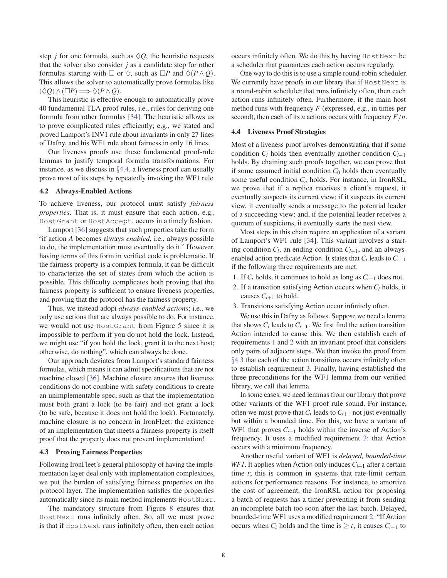step *j* for one formula, such as  $\Diamond Q$ , the heuristic requests that the solver also consider *j* as a candidate step for other formulas starting with  $\Box$  or  $\Diamond$ , such as  $\Box P$  and  $\Diamond (P \land Q)$ . This allows the solver to automatically prove formulas like  $(\Diamond Q) \land (\Box P) \Longrightarrow \Diamond (P \land Q).$ 

This heuristic is effective enough to automatically prove 40 fundamental TLA proof rules, i.e., rules for deriving one formula from other formulas [34]. The heuristic allows us to prove complicated rules efficiently; e.g., we stated and proved Lamport's INV1 rule about invariants in only 27 lines of Dafny, and his WF1 rule about fairness in only 16 lines.

Our liveness proofs use these fundamental proof-rule lemmas to justify temporal formula transformations. For instance, as we discuss in §4.4, a liveness proof can usually prove most of its steps by repeatedly invoking the WF1 rule.

#### 4.2 Always-Enabled Actions

To achieve liveness, our protocol must satisfy *fairness properties*. That is, it must ensure that each action, e.g., HostGrant or HostAccept, occurs in a timely fashion.

Lamport [36] suggests that such properties take the form "if action *A* becomes always *enabled*, i.e., always possible to do, the implementation must eventually do it." However, having terms of this form in verified code is problematic. If the fairness property is a complex formula, it can be difficult to characterize the set of states from which the action is possible. This difficulty complicates both proving that the fairness property is sufficient to ensure liveness properties, and proving that the protocol has the fairness property.

Thus, we instead adopt *always-enabled actions*; i.e., we only use actions that are always possible to do. For instance, we would not use HostGrant from Figure 5 since it is impossible to perform if you do not hold the lock. Instead, we might use "if you hold the lock, grant it to the next host; otherwise, do nothing", which can always be done.

Our approach deviates from Lamport's standard fairness formulas, which means it can admit specifications that are not machine closed [36]. Machine closure ensures that liveness conditions do not combine with safety conditions to create an unimplementable spec, such as that the implementation must both grant a lock (to be fair) and not grant a lock (to be safe, because it does not hold the lock). Fortunately, machine closure is no concern in IronFleet: the existence of an implementation that meets a fairness property is itself proof that the property does not prevent implementation!

### 4.3 Proving Fairness Properties

Following IronFleet's general philosophy of having the implementation layer deal only with implementation complexities, we put the burden of satisfying fairness properties on the protocol layer. The implementation satisfies the properties automatically since its main method implements HostNext.

The mandatory structure from Figure 8 ensures that HostNext runs infinitely often. So, all we must prove is that if HostNext runs infinitely often, then each action

occurs infinitely often. We do this by having HostNext be a scheduler that guarantees each action occurs regularly.

One way to do this is to use a simple round-robin scheduler. We currently have proofs in our library that if HostNext is a round-robin scheduler that runs infinitely often, then each action runs infinitely often. Furthermore, if the main host method runs with frequency *F* (expressed, e.g., in times per second), then each of its *n* actions occurs with frequency  $F/n$ .

#### 4.4 Liveness Proof Strategies

Most of a liveness proof involves demonstrating that if some condition  $C_i$  holds then eventually another condition  $C_{i+1}$ holds. By chaining such proofs together, we can prove that if some assumed initial condition  $C_0$  holds then eventually some useful condition *Cn* holds. For instance, in IronRSL, we prove that if a replica receives a client's request, it eventually suspects its current view; if it suspects its current view, it eventually sends a message to the potential leader of a succeeding view; and, if the potential leader receives a quorum of suspicions, it eventually starts the next view.

Most steps in this chain require an application of a variant of Lamport's WF1 rule [34]. This variant involves a starting condition  $C_i$ , an ending condition  $C_{i+1}$ , and an alwaysenabled action predicate Action. It states that  $C_i$  leads to  $C_{i+1}$ if the following three requirements are met:

- 1. If  $C_i$  holds, it continues to hold as long as  $C_{i+1}$  does not.
- 2. If a transition satisfying Action occurs when *Ci* holds, it causes  $C_{i+1}$  to hold.
- 3. Transitions satisfying Action occur infinitely often.

We use this in Dafny as follows. Suppose we need a lemma that shows  $C_i$  leads to  $C_{i+1}$ . We first find the action transition Action intended to cause this. We then establish each of requirements 1 and 2 with an invariant proof that considers only pairs of adjacent steps. We then invoke the proof from §4.3 that each of the action transitions occurs infinitely often to establish requirement 3. Finally, having established the three preconditions for the WF1 lemma from our verified library, we call that lemma.

In some cases, we need lemmas from our library that prove other variants of the WF1 proof rule sound. For instance, often we must prove that  $C_i$  leads to  $C_{i+1}$  not just eventually but within a bounded time. For this, we have a variant of WF1 that proves  $C_{i+1}$  holds within the inverse of Action's frequency. It uses a modified requirement 3: that Action occurs with a minimum frequency.

Another useful variant of WF1 is *delayed, bounded-time WF1*. It applies when Action only induces  $C_{i+1}$  after a certain time *t*; this is common in systems that rate-limit certain actions for performance reasons. For instance, to amortize the cost of agreement, the IronRSL action for proposing a batch of requests has a timer preventing it from sending an incomplete batch too soon after the last batch. Delayed, bounded-time WF1 uses a modified requirement 2: "If Action occurs when  $C_i$  holds and the time is  $\geq t$ , it causes  $C_{i+1}$  to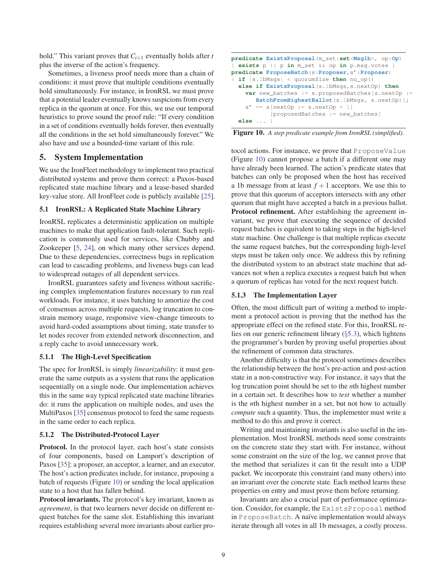hold." This variant proves that *Ci*<sup>+</sup><sup>1</sup> eventually holds after *t* plus the inverse of the action's frequency.

Sometimes, a liveness proof needs more than a chain of conditions: it must prove that multiple conditions eventually hold simultaneously. For instance, in IronRSL we must prove that a potential leader eventually knows suspicions from every replica in the quorum at once. For this, we use our temporal heuristics to prove sound the proof rule: "If every condition in a set of conditions eventually holds forever, then eventually all the conditions in the set hold simultaneously forever." We also have and use a bounded-time variant of this rule.

# 5. System Implementation

We use the IronFleet methodology to implement two practical distributed systems and prove them correct: a Paxos-based replicated state machine library and a lease-based sharded key-value store. All IronFleet code is publicly available [25].

### 5.1 IronRSL: A Replicated State Machine Library

IronRSL replicates a deterministic application on multiple machines to make that application fault-tolerant. Such replication is commonly used for services, like Chubby and Zookeeper [5, 24], on which many other services depend. Due to these dependencies, correctness bugs in replication can lead to cascading problems, and liveness bugs can lead to widespread outages of all dependent services.

IronRSL guarantees safety and liveness without sacrificing complex implementation features necessary to run real workloads. For instance, it uses batching to amortize the cost of consensus across multiple requests, log truncation to constrain memory usage, responsive view-change timeouts to avoid hard-coded assumptions about timing, state transfer to let nodes recover from extended network disconnection, and a reply cache to avoid unnecessary work.

#### 5.1.1 The High-Level Specification

The spec for IronRSL is simply *linearizability*: it must generate the same outputs as a system that runs the application sequentially on a single node. Our implementation achieves this in the same way typical replicated state machine libraries do: it runs the application on multiple nodes, and uses the MultiPaxos [35] consensus protocol to feed the same requests in the same order to each replica.

#### 5.1.2 The Distributed-Protocol Layer

Protocol. In the protocol layer, each host's state consists of four components, based on Lamport's description of Paxos [35]: a proposer, an acceptor, a learner, and an executor. The host's action predicates include, for instance, proposing a batch of requests (Figure 10) or sending the local application state to a host that has fallen behind.

Protocol invariants. The protocol's key invariant, known as *agreement*, is that two learners never decide on different request batches for the same slot. Establishing this invariant requires establishing several more invariants about earlier pro-

```
predicate ExistsProposal(m_set:set<Msg1b>, op:Op)
{ exists p :: p in m_set && op in p.msg.votes }
predicate ProposeBatch(s:Proposer,s':Proposer)
{ if |s.1bMsgs| < quorumSize then no_op()
  else if ExistsProposal(s.1bMsgs,s.nextOp) then
    var new_batches := s.proposedBatches[s.nextOp :=
       BatchFromHighestBallot(s.1bMsgs, s.nextOp)];
    s' == s[nextOp := s.nextOp + 1][proposedBatches := new batches]
  else ... }
```
Figure 10. *A step predicate example from IronRSL (simplified).*

tocol actions. For instance, we prove that ProposeValue (Figure 10) cannot propose a batch if a different one may have already been learned. The action's predicate states that batches can only be proposed when the host has received a 1b message from at least  $f + 1$  acceptors. We use this to prove that this quorum of acceptors intersects with any other quorum that might have accepted a batch in a previous ballot. Protocol refinement. After establishing the agreement invariant, we prove that executing the sequence of decided request batches is equivalent to taking steps in the high-level state machine. One challenge is that multiple replicas execute the same request batches, but the corresponding high-level steps must be taken only once. We address this by refining the distributed system to an abstract state machine that advances not when a replica executes a request batch but when a quorum of replicas has voted for the next request batch.

#### 5.1.3 The Implementation Layer

Often, the most difficult part of writing a method to implement a protocol action is proving that the method has the appropriate effect on the refined state. For this, IronRSL relies on our generic refinement library (§5.3), which lightens the programmer's burden by proving useful properties about the refinement of common data structures.

Another difficulty is that the protocol sometimes describes the relationship between the host's pre-action and post-action state in a non-constructive way. For instance, it says that the log truncation point should be set to the *n*th highest number in a certain set. It describes how to *test* whether a number is the *n*th highest number in a set, but not how to actually *compute* such a quantity. Thus, the implementer must write a method to do this and prove it correct.

Writing and maintaining invariants is also useful in the implementation. Most IronRSL methods need some constraints on the concrete state they start with. For instance, without some constraint on the size of the log, we cannot prove that the method that serializes it can fit the result into a UDP packet. We incorporate this constraint (and many others) into an invariant over the concrete state. Each method learns these properties on entry and must prove them before returning.

Invariants are also a crucial part of performance optimization. Consider, for example, the ExistsProposal method in ProposeBatch. A naïve implementation would always iterate through all votes in all 1b messages, a costly process.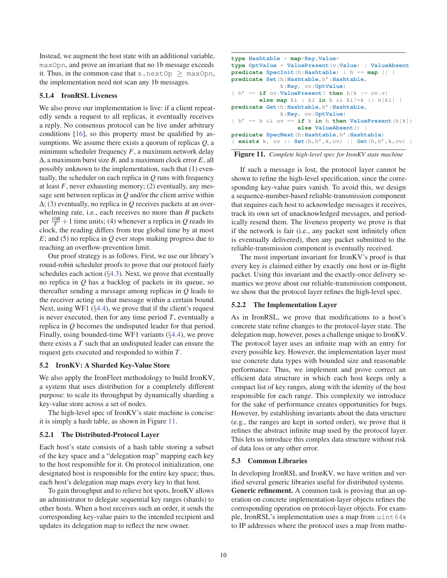Instead, we augment the host state with an additional variable, maxOpn, and prove an invariant that no 1b message exceeds it. Thus, in the common case that  $s$ .  $nextOp \geq maxOpn$ , the implementation need not scan any 1b messages.

# 5.1.4 IronRSL Liveness

We also prove our implementation is live: if a client repeatedly sends a request to all replicas, it eventually receives a reply. No consensus protocol can be live under arbitrary conditions [16], so this property must be qualified by assumptions. We assume there exists a quorum of replicas *Q*, a minimum scheduler frequency *F*, a maximum network delay Δ, a maximum burst size *B*, and a maximum clock error *E*, all possibly unknown to the implementation, such that (1) eventually, the scheduler on each replica in *Q* runs with frequency at least  $F$ , never exhausting memory; (2) eventually, any message sent between replicas in *Q* and/or the client arrive within Δ; (3) eventually, no replica in *Q* receives packets at an overwhelming rate, i.e., each receives no more than *B* packets per  $\frac{10B}{F} + 1$  time units; (4) whenever a replica in *Q* reads its clock, the reading differs from true global time by at most *E*; and (5) no replica in *Q* ever stops making progress due to reaching an overflow-prevention limit.

Our proof strategy is as follows. First, we use our library's round-robin scheduler proofs to prove that our protocol fairly schedules each action (§4.3). Next, we prove that eventually no replica in *Q* has a backlog of packets in its queue, so thereafter sending a message among replicas in *Q* leads to the receiver acting on that message within a certain bound. Next, using WF1 (§4.4), we prove that if the client's request is never executed, then for any time period  $T$ , eventually a replica in *Q* becomes the undisputed leader for that period. Finally, using bounded-time WF1 variants (§4.4), we prove there exists a *T* such that an undisputed leader can ensure the request gets executed and responded to within *T*.

## 5.2 IronKV: A Sharded Key-Value Store

We also apply the IronFleet methodology to build IronKV, a system that uses distribution for a completely different purpose: to scale its throughput by dynamically sharding a key-value store across a set of nodes.

The high-level spec of IronKV's state machine is concise: it is simply a hash table, as shown in Figure 11.

#### 5.2.1 The Distributed-Protocol Layer

Each host's state consists of a hash table storing a subset of the key space and a "delegation map" mapping each key to the host responsible for it. On protocol initialization, one designated host is responsible for the entire key space; thus, each host's delegation map maps every key to that host.

To gain throughput and to relieve hot spots, IronKV allows an administrator to delegate sequential key ranges (shards) to other hosts. When a host receives such an order, it sends the corresponding key-value pairs to the intended recipient and updates its delegation map to reflect the new owner.

| type Hashtable = $map$ < Key, Value >                                                                |
|------------------------------------------------------------------------------------------------------|
| type OptValue = ValuePresent $(v:Value)$   ValueAbsent                                               |
| predicate SpecInit(h:Hashtable) { $h == map []$ }                                                    |
| predicate Set (h: Hashtable, h': Hashtable,                                                          |
| k: Key, ov: OptValue)                                                                                |
| { $h' == if ov. ValuePresent? then h[k := ov.v]$                                                     |
| else map $ki$   ki in h && ki!=k :: h[ki] }                                                          |
| predicate Get (h: Hashtable, h': Hashtable,                                                          |
| k: Key, ov: OptValue)                                                                                |
| $\{ h' = h \& w \text{ over } = \textbf{if } k \textbf{ in } h \textbf{ then ValuePresent}(h[k]) \}$ |
| else $ValueAbsent()$                                                                                 |
| predicate SpecNext (h: Hashtable, h': Hashtable)                                                     |
| $\{$ exists k, ov :: Set(h, h', k, ov)    Get(h, h', k, ov) }                                        |

Figure 11. *Complete high-level spec for IronKV state machine*

If such a message is lost, the protocol layer cannot be shown to refine the high-level specification, since the corresponding key-value pairs vanish. To avoid this, we design a sequence-number-based reliable-transmission component that requires each host to acknowledge messages it receives, track its own set of unacknowledged messages, and periodically resend them. The liveness property we prove is that if the network is fair (i.e., any packet sent infinitely often is eventually delivered), then any packet submitted to the reliable-transmission component is eventually received.

The most important invariant for IronKV's proof is that every key is claimed either by exactly one host or in-flight packet. Using this invariant and the exactly-once delivery semantics we prove about our reliable-transmission component, we show that the protocol layer refines the high-level spec.

# 5.2.2 The Implementation Layer

As in IronRSL, we prove that modifications to a host's concrete state refine changes to the protocol-layer state. The delegation map, however, poses a challenge unique to IronKV. The protocol layer uses an infinite map with an entry for every possible key. However, the implementation layer must use concrete data types with bounded size and reasonable performance. Thus, we implement and prove correct an efficient data structure in which each host keeps only a compact list of key ranges, along with the identity of the host responsible for each range. This complexity we introduce for the sake of performance creates opportunities for bugs. However, by establishing invariants about the data structure (e.g., the ranges are kept in sorted order), we prove that it refines the abstract infinite map used by the protocol layer. This lets us introduce this complex data structure without risk of data loss or any other error.

### 5.3 Common Libraries

In developing IronRSL and IronKV, we have written and verified several generic libraries useful for distributed systems. Generic refinement. A common task is proving that an operation on concrete implementation-layer objects refines the corresponding operation on protocol-layer objects. For example, IronRSL's implementation uses a map from uint64s to IP addresses where the protocol uses a map from mathe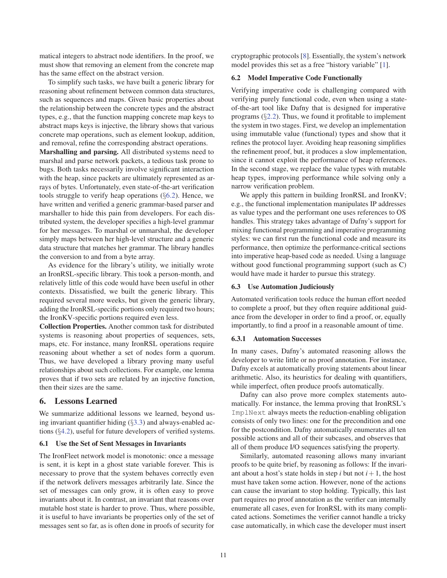matical integers to abstract node identifiers. In the proof, we must show that removing an element from the concrete map has the same effect on the abstract version.

To simplify such tasks, we have built a generic library for reasoning about refinement between common data structures, such as sequences and maps. Given basic properties about the relationship between the concrete types and the abstract types, e.g., that the function mapping concrete map keys to abstract maps keys is injective, the library shows that various concrete map operations, such as element lookup, addition, and removal, refine the corresponding abstract operations.

Marshalling and parsing. All distributed systems need to marshal and parse network packets, a tedious task prone to bugs. Both tasks necessarily involve significant interaction with the heap, since packets are ultimately represented as arrays of bytes. Unfortunately, even state-of-the-art verification tools struggle to verify heap operations (§6.2). Hence, we have written and verified a generic grammar-based parser and marshaller to hide this pain from developers. For each distributed system, the developer specifies a high-level grammar for her messages. To marshal or unmarshal, the developer simply maps between her high-level structure and a generic data structure that matches her grammar. The library handles the conversion to and from a byte array.

As evidence for the library's utility, we initially wrote an IronRSL-specific library. This took a person-month, and relatively little of this code would have been useful in other contexts. Dissatisfied, we built the generic library. This required several more weeks, but given the generic library, adding the IronRSL-specific portions only required two hours; the IronKV-specific portions required even less.

Collection Properties. Another common task for distributed systems is reasoning about properties of sequences, sets, maps, etc. For instance, many IronRSL operations require reasoning about whether a set of nodes form a quorum. Thus, we have developed a library proving many useful relationships about such collections. For example, one lemma proves that if two sets are related by an injective function, then their sizes are the same.

# 6. Lessons Learned

We summarize additional lessons we learned, beyond using invariant quantifier hiding (§3.3) and always-enabled actions (§4.2), useful for future developers of verified systems.

### 6.1 Use the Set of Sent Messages in Invariants

The IronFleet network model is monotonic: once a message is sent, it is kept in a ghost state variable forever. This is necessary to prove that the system behaves correctly even if the network delivers messages arbitrarily late. Since the set of messages can only grow, it is often easy to prove invariants about it. In contrast, an invariant that reasons over mutable host state is harder to prove. Thus, where possible, it is useful to have invariants be properties only of the set of messages sent so far, as is often done in proofs of security for cryptographic protocols [8]. Essentially, the system's network model provides this set as a free "history variable" [1].

# 6.2 Model Imperative Code Functionally

Verifying imperative code is challenging compared with verifying purely functional code, even when using a stateof-the-art tool like Dafny that is designed for imperative programs (§2.2). Thus, we found it profitable to implement the system in two stages. First, we develop an implementation using immutable value (functional) types and show that it refines the protocol layer. Avoiding heap reasoning simplifies the refinement proof, but, it produces a slow implementation, since it cannot exploit the performance of heap references. In the second stage, we replace the value types with mutable heap types, improving performance while solving only a narrow verification problem.

We apply this pattern in building IronRSL and IronKV; e.g., the functional implementation manipulates IP addresses as value types and the performant one uses references to OS handles. This strategy takes advantage of Dafny's support for mixing functional programming and imperative programming styles: we can first run the functional code and measure its performance, then optimize the performance-critical sections into imperative heap-based code as needed. Using a language without good functional programming support (such as C) would have made it harder to pursue this strategy.

# 6.3 Use Automation Judiciously

Automated verification tools reduce the human effort needed to complete a proof, but they often require additional guidance from the developer in order to find a proof, or, equally importantly, to find a proof in a reasonable amount of time.

#### 6.3.1 Automation Successes

In many cases, Dafny's automated reasoning allows the developer to write little or no proof annotation. For instance, Dafny excels at automatically proving statements about linear arithmetic. Also, its heuristics for dealing with quantifiers, while imperfect, often produce proofs automatically.

Dafny can also prove more complex statements automatically. For instance, the lemma proving that IronRSL's ImplNext always meets the reduction-enabling obligation consists of only two lines: one for the precondition and one for the postcondition. Dafny automatically enumerates all ten possible actions and all of their subcases, and observes that all of them produce I/O sequences satisfying the property.

Similarly, automated reasoning allows many invariant proofs to be quite brief, by reasoning as follows: If the invariant about a host's state holds in step  $i$  but not  $i + 1$ , the host must have taken some action. However, none of the actions can cause the invariant to stop holding. Typically, this last part requires no proof annotation as the verifier can internally enumerate all cases, even for IronRSL with its many complicated actions. Sometimes the verifier cannot handle a tricky case automatically, in which case the developer must insert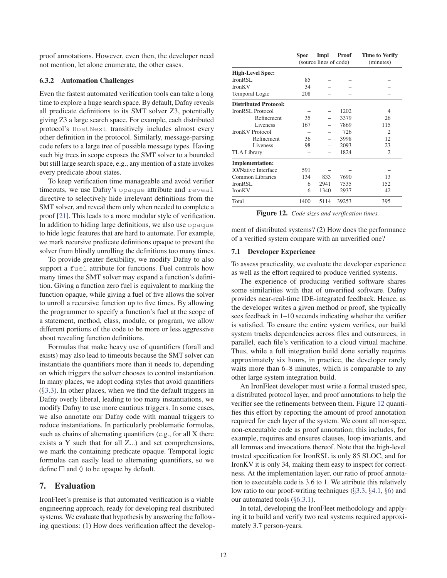proof annotations. However, even then, the developer need not mention, let alone enumerate, the other cases.

# 6.3.2 Automation Challenges

Even the fastest automated verification tools can take a long time to explore a huge search space. By default, Dafny reveals all predicate definitions to its SMT solver Z3, potentially giving Z3 a large search space. For example, each distributed protocol's HostNext transitively includes almost every other definition in the protocol. Similarly, message-parsing code refers to a large tree of possible message types. Having such big trees in scope exposes the SMT solver to a bounded but still large search space, e.g., any mention of a state invokes every predicate about states.

To keep verification time manageable and avoid verifier timeouts, we use Dafny's opaque attribute and reveal directive to selectively hide irrelevant definitions from the SMT solver, and reveal them only when needed to complete a proof [21]. This leads to a more modular style of verification. In addition to hiding large definitions, we also use opaque to hide logic features that are hard to automate. For example, we mark recursive predicate definitions opaque to prevent the solver from blindly unrolling the definitions too many times.

To provide greater flexibility, we modify Dafny to also support a fuel attribute for functions. Fuel controls how many times the SMT solver may expand a function's definition. Giving a function zero fuel is equivalent to marking the function opaque, while giving a fuel of five allows the solver to unroll a recursive function up to five times. By allowing the programmer to specify a function's fuel at the scope of a statement, method, class, module, or program, we allow different portions of the code to be more or less aggressive about revealing function definitions.

Formulas that make heavy use of quantifiers (forall and exists) may also lead to timeouts because the SMT solver can instantiate the quantifiers more than it needs to, depending on which triggers the solver chooses to control instantiation. In many places, we adopt coding styles that avoid quantifiers (§3.3). In other places, when we find the default triggers in Dafny overly liberal, leading to too many instantiations, we modify Dafny to use more cautious triggers. In some cases, we also annotate our Dafny code with manual triggers to reduce instantiations. In particularly problematic formulas, such as chains of alternating quantifiers (e.g., for all X there exists a Y such that for all Z...) and set comprehensions, we mark the containing predicate opaque. Temporal logic formulas can easily lead to alternating quantifiers, so we define  $\Box$  and  $\Diamond$  to be opaque by default.

# 7. Evaluation

IronFleet's premise is that automated verification is a viable engineering approach, ready for developing real distributed systems. We evaluate that hypothesis by answering the following questions: (1) How does verification affect the develop-

|                              | <b>Spec</b> | Impl<br>(source lines of code) | <b>Proof</b> | <b>Time to Verify</b><br>(minutes) |
|------------------------------|-------------|--------------------------------|--------------|------------------------------------|
| <b>High-Level Spec:</b>      |             |                                |              |                                    |
| IronRSL                      | 85          |                                |              |                                    |
| <b>IronKV</b>                | 34          |                                |              |                                    |
| <b>Temporal Logic</b>        | 208         |                                |              |                                    |
| <b>Distributed Protocol:</b> |             |                                |              |                                    |
| IronRSL Protocol             |             |                                | 1202         | 4                                  |
| Refinement                   | 35          |                                | 3379         | 26                                 |
| Liveness                     | 167         |                                | 7869         | 115                                |
| <b>IronKV</b> Protocol       |             |                                | 726          | 2                                  |
| Refinement                   | 36          |                                | 3998         | 12                                 |
| Liveness                     | 98          |                                | 2093         | 23                                 |
| <b>TLA Library</b>           |             |                                | 1824         | $\mathcal{D}_{\mathcal{L}}$        |
| <b>Implementation:</b>       |             |                                |              |                                    |
| <b>IO/Native Interface</b>   | 591         |                                |              |                                    |
| Common Libraries             | 134         | 833                            | 7690         | 13                                 |
| IronRSL                      | 6           | 2941                           | 7535         | 152                                |
| IronKV                       | 6           | 1340                           | 2937         | 42                                 |
| Total                        | 1400        | 5114                           | 39253        | 395                                |

Figure 12. *Code sizes and verification times.*

ment of distributed systems? (2) How does the performance of a verified system compare with an unverified one?

# 7.1 Developer Experience

To assess practicality, we evaluate the developer experience as well as the effort required to produce verified systems.

The experience of producing verified software shares some similarities with that of unverified software. Dafny provides near-real-time IDE-integrated feedback. Hence, as the developer writes a given method or proof, she typically sees feedback in 1–10 seconds indicating whether the verifier is satisfied. To ensure the entire system verifies, our build system tracks dependencies across files and outsources, in parallel, each file's verification to a cloud virtual machine. Thus, while a full integration build done serially requires approximately six hours, in practice, the developer rarely waits more than 6–8 minutes, which is comparable to any other large system integration build.

An IronFleet developer must write a formal trusted spec, a distributed protocol layer, and proof annotations to help the verifier see the refinements between them. Figure 12 quantifies this effort by reporting the amount of proof annotation required for each layer of the system. We count all non-spec, non-executable code as proof annotation; this includes, for example, requires and ensures clauses, loop invariants, and all lemmas and invocations thereof. Note that the high-level trusted specification for IronRSL is only 85 SLOC, and for IronKV it is only 34, making them easy to inspect for correctness. At the implementation layer, our ratio of proof annotation to executable code is 3.6 to 1. We attribute this relatively low ratio to our proof-writing techniques (§3.3, §4.1, §6) and our automated tools (§6.3.1).

In total, developing the IronFleet methodology and applying it to build and verify two real systems required approximately 3.7 person-years.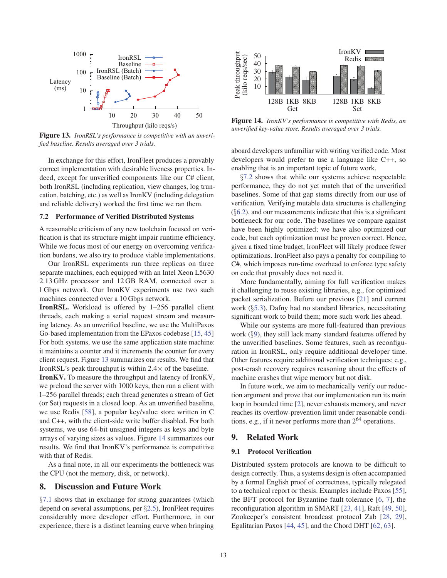

**Figure 13.** *IronRSL's performance is competitive with an unverified baseline. Results averaged over 3 trials.*

In exchange for this effort, IronFleet produces a provably correct implementation with desirable liveness properties. Indeed, except for unverified components like our C# client, both IronRSL (including replication, view changes, log truncation, batching, etc.) as well as IronKV (including delegation and reliable delivery) worked the first time we ran them.

#### 7.2 Performance of Verified Distributed Systems

A reasonable criticism of any new toolchain focused on verification is that its structure might impair runtime efficiency. While we focus most of our energy on overcoming verification burdens, we also try to produce viable implementations.

Our IronRSL experiments run three replicas on three separate machines, each equipped with an Intel Xeon L5630 2.13 GHz processor and 12 GB RAM, connected over a 1 Gbps network. Our IronKV experiments use two such machines connected over a 10 Gbps network.

IronRSL. Workload is offered by 1–256 parallel client threads, each making a serial request stream and measuring latency. As an unverified baseline, we use the MultiPaxos Go-based implementation from the EPaxos codebase [15, 45] For both systems, we use the same application state machine: it maintains a counter and it increments the counter for every client request. Figure 13 summarizes our results. We find that IronRSL's peak throughput is within  $2.4 \times$  of the baseline.

IronKV. To measure the throughput and latency of IronKV, we preload the server with 1000 keys, then run a client with 1–256 parallel threads; each thread generates a stream of Get (or Set) requests in a closed loop. As an unverified baseline, we use Redis [58], a popular key/value store written in C and C++, with the client-side write buffer disabled. For both systems, we use 64-bit unsigned integers as keys and byte arrays of varying sizes as values. Figure 14 summarizes our results. We find that IronKV's performance is competitive with that of Redis.

As a final note, in all our experiments the bottleneck was the CPU (not the memory, disk, or network).

#### 8. Discussion and Future Work

§7.1 shows that in exchange for strong guarantees (which depend on several assumptions, per §2.5), IronFleet requires considerably more developer effort. Furthermore, in our experience, there is a distinct learning curve when bringing



Figure 14. *IronKV's performance is competitive with Redis, an unverified key-value store. Results averaged over 3 trials.*

aboard developers unfamiliar with writing verified code. Most developers would prefer to use a language like C++, so enabling that is an important topic of future work.

§7.2 shows that while our systems achieve respectable performance, they do not yet match that of the unverified baselines. Some of that gap stems directly from our use of verification. Verifying mutable data structures is challenging (§6.2), and our measurements indicate that this is a significant bottleneck for our code. The baselines we compare against have been highly optimized; we have also optimized our code, but each optimization must be proven correct. Hence, given a fixed time budget, IronFleet will likely produce fewer optimizations. IronFleet also pays a penalty for compiling to C#, which imposes run-time overhead to enforce type safety on code that provably does not need it.

More fundamentally, aiming for full verification makes it challenging to reuse existing libraries, e.g., for optimized packet serialization. Before our previous [21] and current work (§5.3), Dafny had no standard libraries, necessitating significant work to build them; more such work lies ahead.

While our systems are more full-featured than previous work  $(\S 9)$ , they still lack many standard features offered by the unverified baselines. Some features, such as reconfiguration in IronRSL, only require additional developer time. Other features require additional verification techniques; e.g., post-crash recovery requires reasoning about the effects of machine crashes that wipe memory but not disk.

In future work, we aim to mechanically verify our reduction argument and prove that our implementation run its main loop in bounded time [2], never exhausts memory, and never reaches its overflow-prevention limit under reasonable conditions, e.g., if it never performs more than  $2^{64}$  operations.

# 9. Related Work

### 9.1 Protocol Verification

Distributed system protocols are known to be difficult to design correctly. Thus, a systems design is often accompanied by a formal English proof of correctness, typically relegated to a technical report or thesis. Examples include Paxos [55], the BFT protocol for Byzantine fault tolerance [6, 7], the reconfiguration algorithm in SMART [23, 41], Raft [49, 50], Zookeeper's consistent broadcast protocol Zab [28, 29], Egalitarian Paxos [44, 45], and the Chord DHT [62, 63].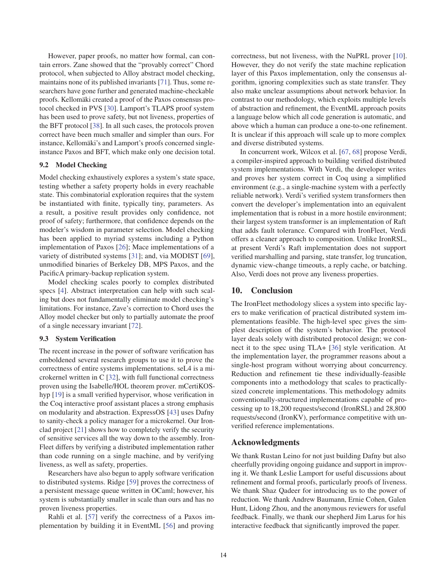However, paper proofs, no matter how formal, can contain errors. Zane showed that the "provably correct" Chord protocol, when subjected to Alloy abstract model checking, maintains none of its published invariants [71]. Thus, some researchers have gone further and generated machine-checkable proofs. Kellomäki created a proof of the Paxos consensus protocol checked in PVS [30]. Lamport's TLAPS proof system has been used to prove safety, but not liveness, properties of the BFT protocol [38]. In all such cases, the protocols proven correct have been much smaller and simpler than ours. For instance, Kellomäki's and Lamport's proofs concerned singleinstance Paxos and BFT, which make only one decision total.

# 9.2 Model Checking

Model checking exhaustively explores a system's state space, testing whether a safety property holds in every reachable state. This combinatorial exploration requires that the system be instantiated with finite, typically tiny, parameters. As a result, a positive result provides only confidence, not proof of safety; furthermore, that confidence depends on the modeler's wisdom in parameter selection. Model checking has been applied to myriad systems including a Python implementation of Paxos [26]; Mace implementations of a variety of distributed systems [31]; and, via MODIST [69], unmodified binaries of Berkeley DB, MPS Paxos, and the PacificA primary-backup replication system.

Model checking scales poorly to complex distributed specs [4]. Abstract interpretation can help with such scaling but does not fundamentally eliminate model checking's limitations. For instance, Zave's correction to Chord uses the Alloy model checker but only to partially automate the proof of a single necessary invariant [72].

#### 9.3 System Verification

The recent increase in the power of software verification has emboldened several research groups to use it to prove the correctness of entire systems implementations. seL4 is a microkernel written in C [32], with full functional correctness proven using the Isabelle/HOL theorem prover. mCertiKOShyp [19] is a small verified hypervisor, whose verification in the Coq interactive proof assistant places a strong emphasis on modularity and abstraction. ExpressOS [43] uses Dafny to sanity-check a policy manager for a microkernel. Our Ironclad project [21] shows how to completely verify the security of sensitive services all the way down to the assembly. Iron-Fleet differs by verifying a distributed implementation rather than code running on a single machine, and by verifying liveness, as well as safety, properties.

Researchers have also begun to apply software verification to distributed systems. Ridge [59] proves the correctness of a persistent message queue written in OCaml; however, his system is substantially smaller in scale than ours and has no proven liveness properties.

Rahli et al. [57] verify the correctness of a Paxos implementation by building it in EventML [56] and proving correctness, but not liveness, with the NuPRL prover [10]. However, they do not verify the state machine replication layer of this Paxos implementation, only the consensus algorithm, ignoring complexities such as state transfer. They also make unclear assumptions about network behavior. In contrast to our methodology, which exploits multiple levels of abstraction and refinement, the EventML approach posits a language below which all code generation is automatic, and above which a human can produce a one-to-one refinement. It is unclear if this approach will scale up to more complex and diverse distributed systems.

In concurrent work, Wilcox et al. [67, 68] propose Verdi, a compiler-inspired approach to building verified distributed system implementations. With Verdi, the developer writes and proves her system correct in Coq using a simplified environment (e.g., a single-machine system with a perfectly reliable network). Verdi's verified system transformers then convert the developer's implementation into an equivalent implementation that is robust in a more hostile environment; their largest system transformer is an implementation of Raft that adds fault tolerance. Compared with IronFleet, Verdi offers a cleaner approach to composition. Unlike IronRSL, at present Verdi's Raft implementation does not support verified marshalling and parsing, state transfer, log truncation, dynamic view-change timeouts, a reply cache, or batching. Also, Verdi does not prove any liveness properties.

# 10. Conclusion

The IronFleet methodology slices a system into specific layers to make verification of practical distributed system implementations feasible. The high-level spec gives the simplest description of the system's behavior. The protocol layer deals solely with distributed protocol design; we connect it to the spec using TLA+ [36] style verification. At the implementation layer, the programmer reasons about a single-host program without worrying about concurrency. Reduction and refinement tie these individually-feasible components into a methodology that scales to practicallysized concrete implementations. This methodology admits conventionally-structured implementations capable of processing up to 18,200 requests/second (IronRSL) and 28,800 requests/second (IronKV), performance competitive with unverified reference implementations.

#### Acknowledgments

We thank Rustan Leino for not just building Dafny but also cheerfully providing ongoing guidance and support in improving it. We thank Leslie Lamport for useful discussions about refinement and formal proofs, particularly proofs of liveness. We thank Shaz Qadeer for introducing us to the power of reduction. We thank Andrew Baumann, Ernie Cohen, Galen Hunt, Lidong Zhou, and the anonymous reviewers for useful feedback. Finally, we thank our shepherd Jim Larus for his interactive feedback that significantly improved the paper.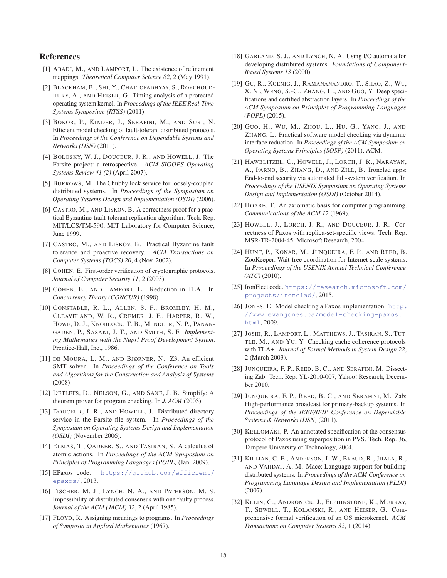# References

- [1] ABADI, M., AND LAMPORT, L. The existence of refinement mappings. *Theoretical Computer Science 82*, 2 (May 1991).
- [2] BLACKHAM, B., SHI, Y., CHATTOPADHYAY, S., ROYCHOUD-HURY, A., AND HEISER, G. Timing analysis of a protected operating system kernel. In *Proceedings of the IEEE Real-Time Systems Symposium (RTSS)* (2011).
- [3] BOKOR, P., KINDER, J., SERAFINI, M., AND SURI, N. Efficient model checking of fault-tolerant distributed protocols. In *Proceedings of the Conference on Dependable Systems and Networks (DSN)* (2011).
- [4] BOLOSKY, W. J., DOUCEUR, J. R., AND HOWELL, J. The Farsite project: a retrospective. *ACM SIGOPS Operating Systems Review 41 (2)* (April 2007).
- [5] BURROWS, M. The Chubby lock service for loosely-coupled distributed systems. In *Proceedings of the Symposium on Operating Systems Design and Implementation (OSDI)* (2006).
- [6] CASTRO, M., AND LISKOV, B. A correctness proof for a practical Byzantine-fault-tolerant replication algorithm. Tech. Rep. MIT/LCS/TM-590, MIT Laboratory for Computer Science, June 1999.
- [7] CASTRO, M., AND LISKOV, B. Practical Byzantine fault tolerance and proactive recovery. *ACM Transactions on Computer Systems (TOCS) 20*, 4 (Nov. 2002).
- [8] COHEN, E. First-order verification of cryptographic protocols. *Journal of Computer Security 11*, 2 (2003).
- [9] COHEN, E., AND LAMPORT, L. Reduction in TLA. In *Concurrency Theory (CONCUR)* (1998).
- [10] CONSTABLE, R. L., ALLEN, S. F., BROMLEY, H. M., CLEAVELAND, W. R., CREMER, J. F., HARPER, R. W., HOWE, D. J., KNOBLOCK, T. B., MENDLER, N. P., PANAN-GADEN, P., SASAKI, J. T., AND SMITH, S. F. *Implementing Mathematics with the Nuprl Proof Development System*. Prentice-Hall, Inc., 1986.
- [11] DE MOURA, L. M., AND BJØRNER, N. Z3: An efficient SMT solver. In *Proceedings of the Conference on Tools and Algorithms for the Construction and Analysis of Systems* (2008).
- [12] DETLEFS, D., NELSON, G., AND SAXE, J. B. Simplify: A theorem prover for program checking. In *J. ACM* (2003).
- [13] DOUCEUR, J. R., AND HOWELL, J. Distributed directory service in the Farsite file system. In *Proceedings of the Symposium on Operating Systems Design and Implementation (OSDI)* (November 2006).
- [14] ELMAS, T., QADEER, S., AND TASIRAN, S. A calculus of atomic actions. In *Proceedings of the ACM Symposium on Principles of Programming Languages (POPL)* (Jan. 2009).
- [15] EPaxos code. https://github.com/efficient/ epaxos/, 2013.
- [16] FISCHER, M. J., LYNCH, N. A., AND PATERSON, M. S. Impossibility of distributed consensus with one faulty process. *Journal of the ACM (JACM) 32*, 2 (April 1985).
- [17] FLOYD, R. Assigning meanings to programs. In *Proceedings of Symposia in Applied Mathematics* (1967).
- [18] GARLAND, S. J., AND LYNCH, N. A. Using I/O automata for developing distributed systems. *Foundations of Component-Based Systems 13* (2000).
- [19] GU, R., KOENIG, J., RAMANANANDRO, T., SHAO, Z., WU, X. N., WENG, S.-C., ZHANG, H., AND GUO, Y. Deep specifications and certified abstraction layers. In *Proceedings of the ACM Symposium on Principles of Programming Languages (POPL)* (2015).
- [20] GUO, H., WU, M., ZHOU, L., HU, G., YANG, J., AND ZHANG, L. Practical software model checking via dynamic interface reduction. In *Proceedings of the ACM Symposium on Operating Systems Principles (SOSP)* (2011), ACM.
- [21] HAWBLITZEL, C., HOWELL, J., LORCH, J. R., NARAYAN, A., PARNO, B., ZHANG, D., AND ZILL, B. Ironclad apps: End-to-end security via automated full-system verification. In *Proceedings of the USENIX Symposium on Operating Systems Design and Implementation (OSDI)* (October 2014).
- [22] HOARE, T. An axiomatic basis for computer programming. *Communications of the ACM 12* (1969).
- [23] HOWELL, J., LORCH, J. R., AND DOUCEUR, J. R. Correctness of Paxos with replica-set-specific views. Tech. Rep. MSR-TR-2004-45, Microsoft Research, 2004.
- [24] HUNT, P., KONAR, M., JUNQUEIRA, F. P., AND REED, B. ZooKeeper: Wait-free coordination for Internet-scale systems. In *Proceedings of the USENIX Annual Technical Conference (ATC)* (2010).
- [25] IronFleet code. https://research.microsoft.com/ projects/ironclad/, 2015.
- [26] JONES, E. Model checking a Paxos implementation. http: //www.evanjones.ca/model-checking-paxos. html, 2009.
- [27] JOSHI, R., LAMPORT, L., MATTHEWS, J., TASIRAN, S., TUT-TLE, M., AND YU, Y. Checking cache coherence protocols with TLA+. *Journal of Formal Methods in System Design 22*, 2 (March 2003).
- [28] JUNQUEIRA, F. P., REED, B. C., AND SERAFINI, M. Dissecting Zab. Tech. Rep. YL-2010-007, Yahoo! Research, December 2010.
- [29] JUNQUEIRA, F. P., REED, B. C., AND SERAFINI, M. Zab: High-performance broadcast for primary-backup systems. In *Proceedings of the IEEE/IFIP Conference on Dependable Systems & Networks (DSN)* (2011).
- [30] KELLOMÄKI, P. An annotated specification of the consensus protocol of Paxos using superposition in PVS. Tech. Rep. 36, Tampere University of Technology, 2004.
- [31] KILLIAN, C. E., ANDERSON, J. W., BRAUD, R., JHALA, R., AND VAHDAT, A. M. Mace: Language support for building distributed systems. In *Proceedings of the ACM Conference on Programming Language Design and Implementation (PLDI)* (2007).
- [32] KLEIN, G., ANDRONICK, J., ELPHINSTONE, K., MURRAY, T., SEWELL, T., KOLANSKI, R., AND HEISER, G. Comprehensive formal verification of an OS microkernel. *ACM Transactions on Computer Systems 32*, 1 (2014).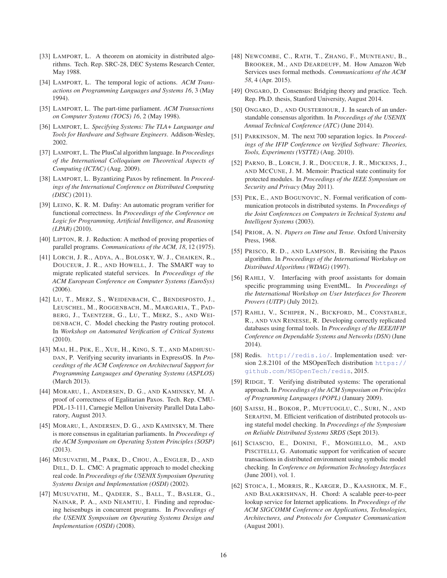- [33] LAMPORT, L. A theorem on atomicity in distributed algorithms. Tech. Rep. SRC-28, DEC Systems Research Center, May 1988.
- [34] LAMPORT, L. The temporal logic of actions. *ACM Transactions on Programming Languages and Systems 16*, 3 (May 1994).
- [35] LAMPORT, L. The part-time parliament. *ACM Transactions on Computer Systems (TOCS) 16*, 2 (May 1998).
- [36] LAMPORT, L. *Specifying Systems: The TLA+ Languange and Tools for Hardware and Software Engineers*. Addison-Wesley, 2002.
- [37] LAMPORT, L. The PlusCal algorithm language. In *Proceedings of the International Colloquium on Theoretical Aspects of Computing (ICTAC)* (Aug. 2009).
- [38] LAMPORT, L. Byzantizing Paxos by refinement. In *Proceedings of the International Conference on Distributed Computing (DISC)* (2011).
- [39] LEINO, K. R. M. Dafny: An automatic program verifier for functional correctness. In *Proceedings of the Conference on Logic for Programming, Artificial Intelligence, and Reasoning (LPAR)* (2010).
- [40] LIPTON, R. J. Reduction: A method of proving properties of parallel programs. *Communications of the ACM, 18*, 12 (1975).
- [41] LORCH, J. R., ADYA, A., BOLOSKY, W. J., CHAIKEN, R., DOUCEUR, J. R., AND HOWELL, J. The SMART way to migrate replicated stateful services. In *Proceedings of the ACM European Conference on Computer Systems (EuroSys)* (2006).
- [42] LU, T., MERZ, S., WEIDENBACH, C., BENDISPOSTO, J., LEUSCHEL, M., ROGGENBACH, M., MARGARIA, T., PAD-BERG, J., TAENTZER, G., LU, T., MERZ, S., AND WEI-DENBACH, C. Model checking the Pastry routing protocol. In *Workshop on Automated Verification of Critical Systems*  $(2010)$ .
- [43] MAI, H., PEK, E., XUE, H., KING, S. T., AND MADHUSU-DAN, P. Verifying security invariants in ExpressOS. In *Proceedings of the ACM Conference on Architectural Support for Programming Languages and Operating Systems (ASPLOS)* (March 2013).
- [44] MORARU, I., ANDERSEN, D. G., AND KAMINSKY, M. A proof of correctness of Egalitarian Paxos. Tech. Rep. CMU-PDL-13-111, Carnegie Mellon University Parallel Data Laboratory, August 2013.
- [45] MORARU, I., ANDERSEN, D. G., AND KAMINSKY, M. There is more consensus in egalitarian parliaments. In *Proceedings of the ACM Symposium on Operating System Principles (SOSP)* (2013).
- [46] MUSUVATHI, M., PARK, D., CHOU, A., ENGLER, D., AND DILL, D. L. CMC: A pragmatic approach to model checking real code. In *Proceedings of the USENIX Symposium Operating Systems Design and Implementation (OSDI)* (2002).
- [47] MUSUVATHI, M., QADEER, S., BALL, T., BASLER, G., NAINAR, P. A., AND NEAMTIU, I. Finding and reproducing heisenbugs in concurrent programs. In *Proceedings of the USENIX Symposium on Operating Systems Design and Implementation (OSDI)* (2008).
- [48] NEWCOMBE, C., RATH, T., ZHANG, F., MUNTEANU, B., BROOKER, M., AND DEARDEUFF, M. How Amazon Web Services uses formal methods. *Communications of the ACM 58*, 4 (Apr. 2015).
- [49] ONGARO, D. Consensus: Bridging theory and practice. Tech. Rep. Ph.D. thesis, Stanford University, August 2014.
- [50] ONGARO, D., AND OUSTERHOUR, J. In search of an understandable consensus algorithm. In *Proceedings of the USENIX Annual Technical Conference (ATC)* (June 2014).
- [51] PARKINSON, M. The next 700 separation logics. In *Proceedings of the IFIP Conference on Verified Software: Theories, Tools, Experiments (VSTTE)* (Aug. 2010).
- [52] PARNO, B., LORCH, J. R., DOUCEUR, J. R., MICKENS, J., AND MCCUNE, J. M. Memoir: Practical state continuity for protected modules. In *Proceedings of the IEEE Symposium on Security and Privacy* (May 2011).
- [53] PEK, E., AND BOGUNOVIC, N. Formal verification of communication protocols in distributed systems. In *Proceedings of the Joint Conferences on Computers in Technical Systems and Intelligent Systems* (2003).
- [54] PRIOR, A. N. *Papers on Time and Tense*. Oxford University Press, 1968.
- [55] PRISCO, R. D., AND LAMPSON, B. Revisiting the Paxos algorithm. In *Proceedings of the International Workshop on Distributed Algorithms (WDAG)* (1997).
- [56] RAHLI, V. Interfacing with proof assistants for domain specific programming using EventML. In *Proceedings of the International Workshop on User Interfaces for Theorem Provers (UITP)* (July 2012).
- [57] RAHLI, V., SCHIPER, N., BICKFORD, M., CONSTABLE, R., AND VAN RENESSE, R. Developing correctly replicated databases using formal tools. In *Proceedings of the IEEE/IFIP Conference on Dependable Systems and Networks (DSN)* (June 2014).
- [58] Redis. http://redis.io/. Implementation used: version 2.8.2101 of the MSOpenTech distribution https:// github.com/MSOpenTech/redis, 2015.
- [59] RIDGE, T. Verifying distributed systems: The operational approach. In *Proceedings of the ACM Symposium on Principles of Programming Languages (POPL)* (January 2009).
- [60] SAISSI, H., BOKOR, P., MUFTUOGLU, C., SURI, N., AND SERAFINI, M. Efficient verification of distributed protocols using stateful model checking. In *Proceedings of the Symposium on Reliable Distributed Systems SRDS* (Sept 2013).
- [61] SCIASCIO, E., DONINI, F., MONGIELLO, M., AND PISCITELLI, G. Automatic support for verification of secure transactions in distributed environment using symbolic model checking. In *Conference on Information Technology Interfaces* (June 2001), vol. 1.
- [62] STOICA, I., MORRIS, R., KARGER, D., KAASHOEK, M. F., AND BALAKRISHNAN, H. Chord: A scalable peer-to-peer lookup service for Internet applications. In *Proceedings of the ACM SIGCOMM Conference on Applications, Technologies, Architectures, and Protocols for Computer Communication* (August 2001).